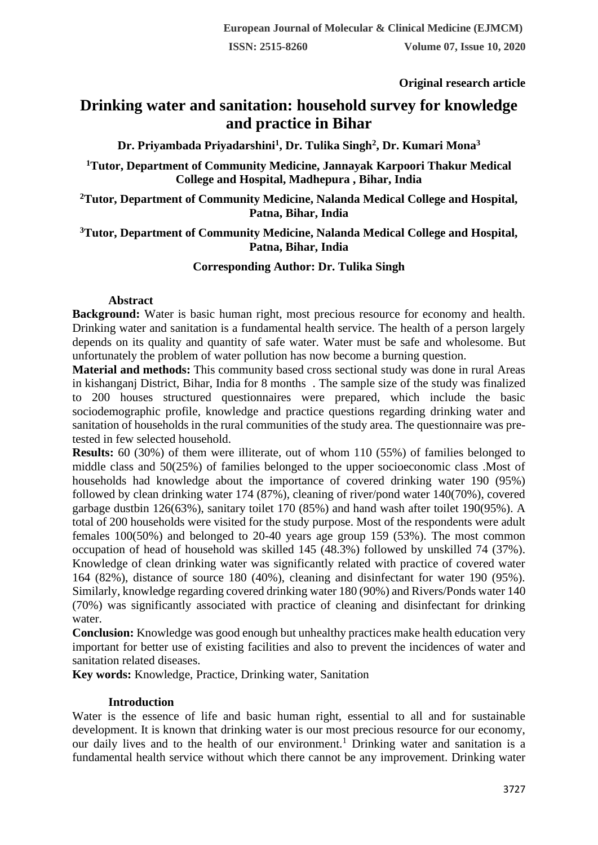**Original research article** 

# **Drinking water and sanitation: household survey for knowledge and practice in Bihar**

**Dr. Priyambada Priyadarshini<sup>1</sup> , Dr. Tulika Singh<sup>2</sup> , Dr. Kumari Mona<sup>3</sup>**

**<sup>1</sup>Tutor, Department of Community Medicine, Jannayak Karpoori Thakur Medical College and Hospital, Madhepura , Bihar, India**

**<sup>2</sup>Tutor, Department of Community Medicine, Nalanda Medical College and Hospital, Patna, Bihar, India**

## **<sup>3</sup>Tutor, Department of Community Medicine, Nalanda Medical College and Hospital, Patna, Bihar, India**

## **Corresponding Author: Dr. Tulika Singh**

### **Abstract**

**Background:** Water is basic human right, most precious resource for economy and health. Drinking water and sanitation is a fundamental health service. The health of a person largely depends on its quality and quantity of safe water. Water must be safe and wholesome. But unfortunately the problem of water pollution has now become a burning question.

**Material and methods:** This community based cross sectional study was done in rural Areas in kishanganj District, Bihar, India for 8 months . The sample size of the study was finalized to 200 houses structured questionnaires were prepared, which include the basic sociodemographic profile, knowledge and practice questions regarding drinking water and sanitation of households in the rural communities of the study area. The questionnaire was pretested in few selected household.

**Results:** 60 (30%) of them were illiterate, out of whom 110 (55%) of families belonged to middle class and 50(25%) of families belonged to the upper socioeconomic class .Most of households had knowledge about the importance of covered drinking water 190 (95%) followed by clean drinking water 174 (87%), cleaning of river/pond water 140(70%), covered garbage dustbin 126(63%), sanitary toilet 170 (85%) and hand wash after toilet 190(95%). A total of 200 households were visited for the study purpose. Most of the respondents were adult females 100(50%) and belonged to 20-40 years age group 159 (53%). The most common occupation of head of household was skilled 145 (48.3%) followed by unskilled 74 (37%). Knowledge of clean drinking water was significantly related with practice of covered water 164 (82%), distance of source 180 (40%), cleaning and disinfectant for water 190 (95%). Similarly, knowledge regarding covered drinking water 180 (90%) and Rivers/Ponds water 140 (70%) was significantly associated with practice of cleaning and disinfectant for drinking water.

**Conclusion:** Knowledge was good enough but unhealthy practices make health education very important for better use of existing facilities and also to prevent the incidences of water and sanitation related diseases.

**Key words:** Knowledge, Practice, Drinking water, Sanitation

## **Introduction**

Water is the essence of life and basic human right, essential to all and for sustainable development. It is known that drinking water is our most precious resource for our economy, our daily lives and to the health of our environment.<sup>1</sup> Drinking water and sanitation is a fundamental health service without which there cannot be any improvement. Drinking water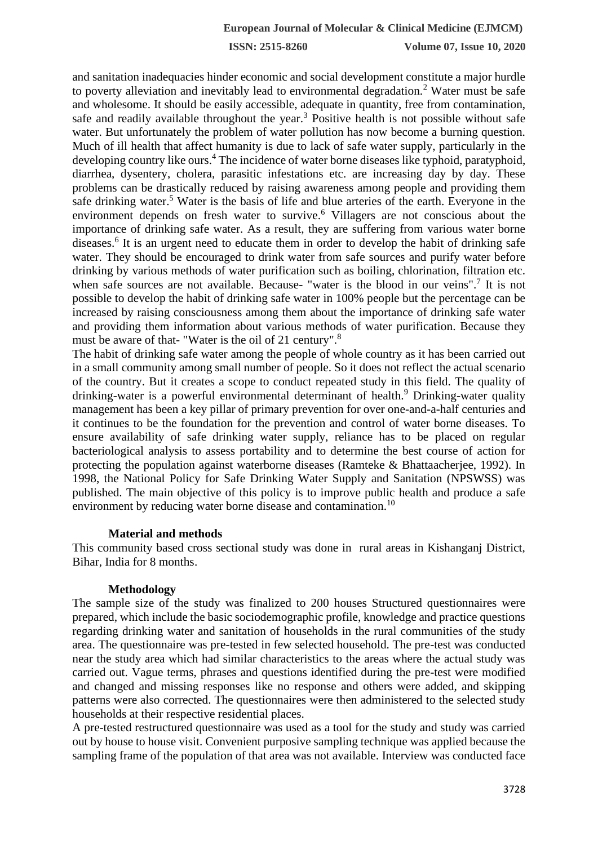and sanitation inadequacies hinder economic and social development constitute a major hurdle to poverty alleviation and inevitably lead to environmental degradation.<sup>2</sup> Water must be safe and wholesome. It should be easily accessible, adequate in quantity, free from contamination, safe and readily available throughout the year.<sup>3</sup> Positive health is not possible without safe water. But unfortunately the problem of water pollution has now become a burning question. Much of ill health that affect humanity is due to lack of safe water supply, particularly in the developing country like ours.<sup>4</sup> The incidence of water borne diseases like typhoid, paratyphoid, diarrhea, dysentery, cholera, parasitic infestations etc. are increasing day by day. These problems can be drastically reduced by raising awareness among people and providing them safe drinking water.<sup>5</sup> Water is the basis of life and blue arteries of the earth. Everyone in the environment depends on fresh water to survive.<sup>6</sup> Villagers are not conscious about the importance of drinking safe water. As a result, they are suffering from various water borne diseases.<sup>6</sup> It is an urgent need to educate them in order to develop the habit of drinking safe water. They should be encouraged to drink water from safe sources and purify water before drinking by various methods of water purification such as boiling, chlorination, filtration etc. when safe sources are not available. Because- "water is the blood in our veins".<sup>7</sup> It is not possible to develop the habit of drinking safe water in 100% people but the percentage can be increased by raising consciousness among them about the importance of drinking safe water and providing them information about various methods of water purification. Because they must be aware of that- "Water is the oil of 21 century".<sup>8</sup>

The habit of drinking safe water among the people of whole country as it has been carried out in a small community among small number of people. So it does not reflect the actual scenario of the country. But it creates a scope to conduct repeated study in this field. The quality of drinking-water is a powerful environmental determinant of health.<sup>9</sup> Drinking-water quality management has been a key pillar of primary prevention for over one-and-a-half centuries and it continues to be the foundation for the prevention and control of water borne diseases. To ensure availability of safe drinking water supply, reliance has to be placed on regular bacteriological analysis to assess portability and to determine the best course of action for protecting the population against waterborne diseases (Ramteke & Bhattaacherjee, 1992). In 1998, the National Policy for Safe Drinking Water Supply and Sanitation (NPSWSS) was published. The main objective of this policy is to improve public health and produce a safe environment by reducing water borne disease and contamination.<sup>10</sup>

### **Material and methods**

This community based cross sectional study was done in rural areas in Kishanganj District, Bihar, India for 8 months.

### **Methodology**

The sample size of the study was finalized to 200 houses Structured questionnaires were prepared, which include the basic sociodemographic profile, knowledge and practice questions regarding drinking water and sanitation of households in the rural communities of the study area. The questionnaire was pre-tested in few selected household. The pre-test was conducted near the study area which had similar characteristics to the areas where the actual study was carried out. Vague terms, phrases and questions identified during the pre-test were modified and changed and missing responses like no response and others were added, and skipping patterns were also corrected. The questionnaires were then administered to the selected study households at their respective residential places.

A pre-tested restructured questionnaire was used as a tool for the study and study was carried out by house to house visit. Convenient purposive sampling technique was applied because the sampling frame of the population of that area was not available. Interview was conducted face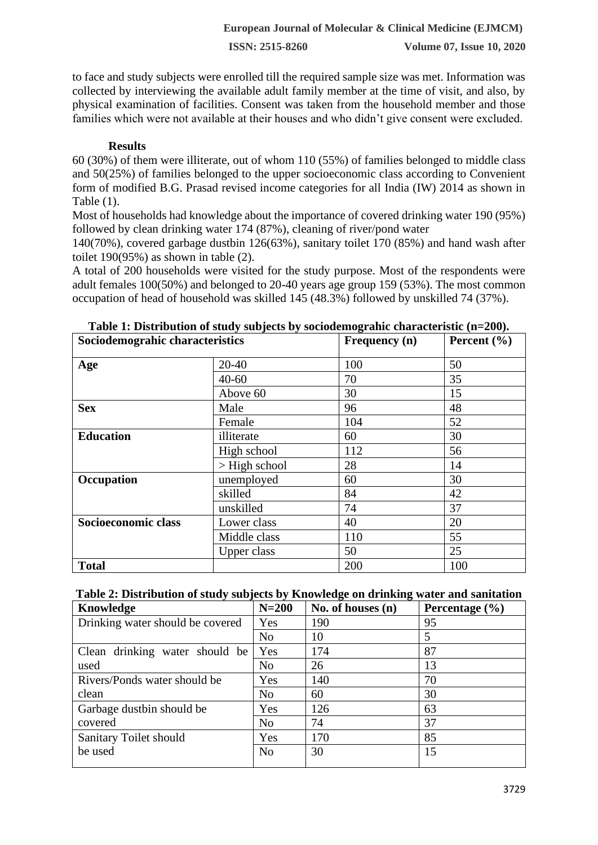to face and study subjects were enrolled till the required sample size was met. Information was collected by interviewing the available adult family member at the time of visit, and also, by physical examination of facilities. Consent was taken from the household member and those families which were not available at their houses and who didn't give consent were excluded.

## **Results**

60 (30%) of them were illiterate, out of whom 110 (55%) of families belonged to middle class and 50(25%) of families belonged to the upper socioeconomic class according to Convenient form of modified B.G. Prasad revised income categories for all India (IW) 2014 as shown in Table (1).

Most of households had knowledge about the importance of covered drinking water 190 (95%) followed by clean drinking water 174 (87%), cleaning of river/pond water

140(70%), covered garbage dustbin 126(63%), sanitary toilet 170 (85%) and hand wash after toilet 190(95%) as shown in table (2).

A total of 200 households were visited for the study purpose. Most of the respondents were adult females 100(50%) and belonged to 20-40 years age group 159 (53%). The most common occupation of head of household was skilled 145 (48.3%) followed by unskilled 74 (37%).

| Sociodemograhic characteristics |                    | Frequency (n) | Percent $(\% )$ |  |
|---------------------------------|--------------------|---------------|-----------------|--|
| Age                             | 20-40              | 100           | 50              |  |
|                                 | $40 - 60$          | 70            | 35              |  |
|                                 | Above 60           | 30            | 15              |  |
| <b>Sex</b>                      | Male               | 96            | 48              |  |
|                                 | Female             | 104           | 52              |  |
| <b>Education</b>                | illiterate         | 60            | 30              |  |
|                                 | High school        | 112           | 56              |  |
|                                 | $>$ High school    | 28            | 14              |  |
| Occupation                      | unemployed         | 60            | 30              |  |
|                                 | skilled            | 84            | 42              |  |
|                                 | unskilled          | 74            | 37              |  |
| Socioeconomic class             | Lower class        | 40            | 20              |  |
|                                 | Middle class       | 110           | 55              |  |
|                                 | <b>Upper class</b> | 50            | 25              |  |
| <b>Total</b>                    |                    | 200           | 100             |  |

| Table 1: Distribution of study subjects by sociodemograhic characteristic (n=200). |  |  |  |  |
|------------------------------------------------------------------------------------|--|--|--|--|
|------------------------------------------------------------------------------------|--|--|--|--|

## **Table 2: Distribution of study subjects by Knowledge on drinking water and sanitation**

| Knowledge                        | $N=200$        | No. of houses $(n)$ | Percentage $(\% )$ |
|----------------------------------|----------------|---------------------|--------------------|
| Drinking water should be covered | Yes            | 190                 | 95                 |
|                                  | N <sub>o</sub> | 10                  | 5                  |
| Clean drinking water should be   | Yes            | 174                 | 87                 |
| used                             | N <sub>o</sub> | 26                  | 13                 |
| Rivers/Ponds water should be     | Yes            | 140                 | 70                 |
| clean                            | N <sub>o</sub> | 60                  | 30                 |
| Garbage dustbin should be        | Yes            | 126                 | 63                 |
| covered                          | N <sub>o</sub> | 74                  | 37                 |
| Sanitary Toilet should           | Yes            | 170                 | 85                 |
| be used                          | N <sub>o</sub> | 30                  | 15                 |
|                                  |                |                     |                    |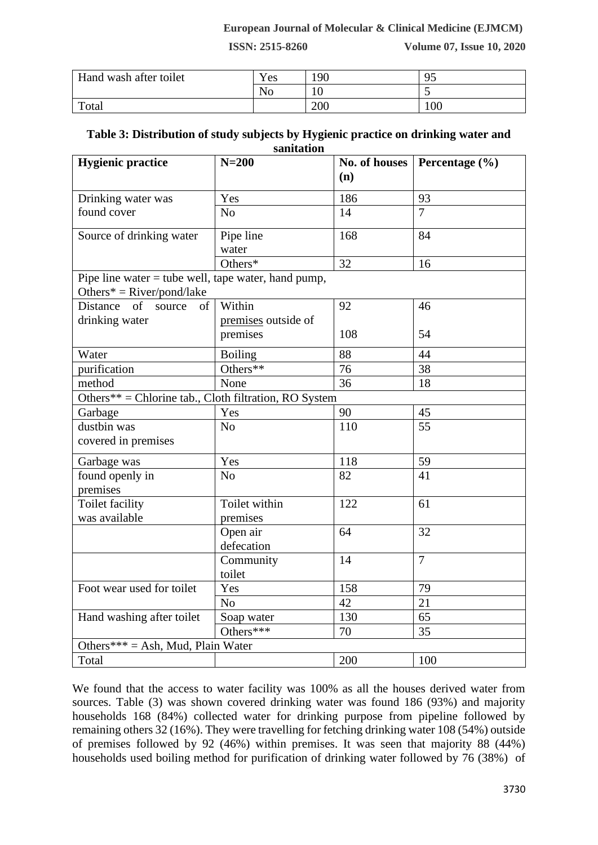### **European Journal of Molecular & Clinical Medicine (EJMCM)**

**ISSN: 2515-8260 Volume 07, Issue 10, 2020**

| Hand wash after toilet | Yes | 190 | ๛<br>~ |
|------------------------|-----|-----|--------|
|                        | N0  | ιv  | ັ      |
| Total                  |     | 200 | 100    |

### **Table 3: Distribution of study subjects by Hygienic practice on drinking water and sanitation**

| <b>Hygienic practice</b>                                    | $N=200$                         | No. of houses | Percentage $(\% )$ |
|-------------------------------------------------------------|---------------------------------|---------------|--------------------|
|                                                             |                                 | (n)           |                    |
| Drinking water was                                          | Yes                             | 186           | 93                 |
| found cover                                                 | N <sub>o</sub>                  | 14            | $\overline{7}$     |
| Source of drinking water                                    | Pipe line                       | 168           | 84                 |
|                                                             | water<br>Others*                | 32            |                    |
|                                                             |                                 |               | 16                 |
| Pipe line water $=$ tube well, tape water, hand pump,       |                                 |               |                    |
| Others* = $River/pond/ lake$<br><b>Distance</b><br>of<br>of | Within                          | 92            | 46                 |
| source                                                      |                                 |               |                    |
| drinking water                                              | premises outside of<br>premises | 108           | 54                 |
| Water                                                       | <b>Boiling</b>                  | 88            | 44                 |
| purification                                                | Others**                        | 76            | 38                 |
| method                                                      | None                            | 36            | 18                 |
| Others** = Chlorine tab., Cloth filtration, RO System       |                                 |               |                    |
| Garbage                                                     | Yes                             | 90            | 45                 |
| dustbin was                                                 | N <sub>o</sub>                  | 110           | 55                 |
| covered in premises                                         |                                 |               |                    |
| Garbage was                                                 | Yes                             | 118           | 59                 |
| found openly in<br>premises                                 | N <sub>o</sub>                  | 82            | 41                 |
| Toilet facility                                             | Toilet within                   | 122           | 61                 |
| was available                                               | premises                        |               |                    |
|                                                             | Open air<br>defecation          | 64            | 32                 |
|                                                             | Community<br>toilet             | 14            | $\overline{7}$     |
| Foot wear used for toilet                                   | Yes                             | 158           | 79                 |
|                                                             | N <sub>o</sub>                  | 42            | 21                 |
| Hand washing after toilet                                   | Soap water                      | 130           | 65                 |
|                                                             | Others***                       | 70            | 35                 |
| Others*** = Ash, Mud, Plain Water                           |                                 |               |                    |
| Total                                                       |                                 | 200           | 100                |

We found that the access to water facility was 100% as all the houses derived water from sources. Table (3) was shown covered drinking water was found 186 (93%) and majority households 168 (84%) collected water for drinking purpose from pipeline followed by remaining others 32 (16%). They were travelling for fetching drinking water 108 (54%) outside of premises followed by 92 (46%) within premises. It was seen that majority 88 (44%) households used boiling method for purification of drinking water followed by 76 (38%) of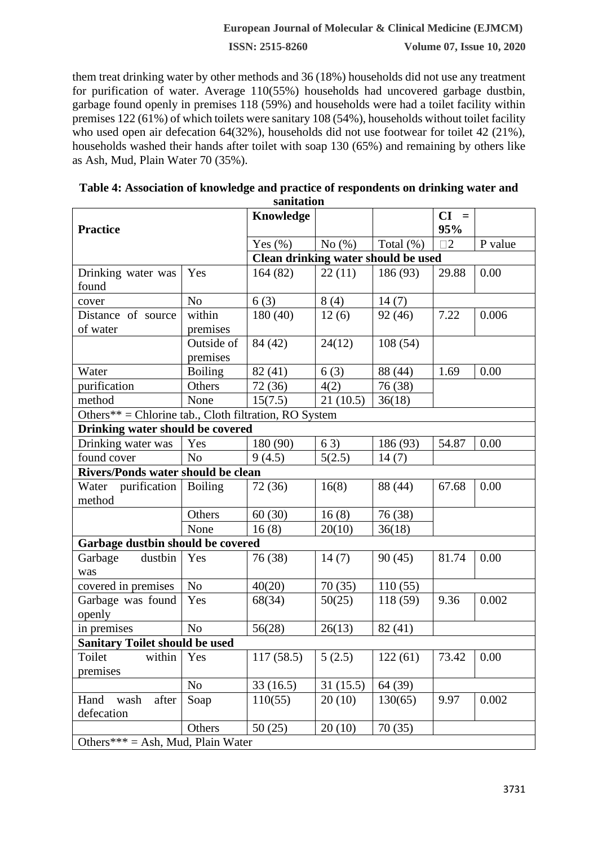### **European Journal of Molecular & Clinical Medicine (EJMCM)**

**ISSN: 2515-8260 Volume 07, Issue 10, 2020**

them treat drinking water by other methods and 36 (18%) households did not use any treatment for purification of water. Average 110(55%) households had uncovered garbage dustbin, garbage found openly in premises 118 (59%) and households were had a toilet facility within premises 122 (61%) of which toilets were sanitary 108 (54%), households without toilet facility who used open air defecation 64(32%), households did not use footwear for toilet 42 (21%), households washed their hands after toilet with soap 130 (65%) and remaining by others like as Ash, Mud, Plain Water 70 (35%).

| <b>Practice</b>                                       |                        | Knowledge                           |           |              | $CI =$<br>95% |         |  |
|-------------------------------------------------------|------------------------|-------------------------------------|-----------|--------------|---------------|---------|--|
|                                                       |                        | Yes $(\% )$                         | No $(\%)$ | Total $(\%)$ | $\square$ 2   | P value |  |
|                                                       |                        | Clean drinking water should be used |           |              |               |         |  |
| Drinking water was<br>found                           | Yes                    | 164(82)                             | 22(11)    | 186 (93)     | 29.88         | 0.00    |  |
| cover                                                 | N <sub>o</sub>         | 6(3)                                | 8(4)      | 14(7)        |               |         |  |
| Distance of source<br>of water                        | within<br>premises     | 180(40)                             | 12(6)     | 92 (46)      | 7.22          | 0.006   |  |
|                                                       | Outside of<br>premises | 84 (42)                             | 24(12)    | 108(54)      |               |         |  |
| Water                                                 | <b>Boiling</b>         | 82 (41)                             | 6(3)      | 88 (44)      | 1.69          | 0.00    |  |
| purification                                          | Others                 | 72 (36)                             | 4(2)      | 76 (38)      |               |         |  |
| method                                                | None                   | 15(7.5)                             | 21(10.5)  | 36(18)       |               |         |  |
| Others** = Chlorine tab., Cloth filtration, RO System |                        |                                     |           |              |               |         |  |
| Drinking water should be covered                      |                        |                                     |           |              |               |         |  |
| Drinking water was                                    | Yes                    | 180 (90)                            | 63)       | 186 (93)     | 54.87         | 0.00    |  |
| found cover                                           | N <sub>o</sub>         | 9(4.5)                              | 5(2.5)    | 14(7)        |               |         |  |
| Rivers/Ponds water should be clean                    |                        |                                     |           |              |               |         |  |
| Water purification<br>method                          | <b>Boiling</b>         | 72 (36)                             | 16(8)     | 88 (44)      | 67.68         | 0.00    |  |
|                                                       | Others                 | 60(30)                              | 16(8)     | 76(38)       |               |         |  |
|                                                       | None                   | 16(8)                               | 20(10)    | 36(18)       |               |         |  |
| Garbage dustbin should be covered                     |                        |                                     |           |              |               |         |  |
| dustbin<br>Garbage<br>was                             | Yes                    | 76 (38)                             | 14(7)     | 90(45)       | 81.74         | 0.00    |  |
| covered in premises                                   | N <sub>o</sub>         | 40(20)                              | 70(35)    | 110(55)      |               |         |  |
| Garbage was found<br>openly                           | Yes                    | 68(34)                              | 50(25)    | 118 (59)     | 9.36          | 0.002   |  |
| in premises                                           | N <sub>o</sub>         | 56(28)                              | 26(13)    | 82(41)       |               |         |  |
| <b>Sanitary Toilet should be used</b>                 |                        |                                     |           |              |               |         |  |
| within<br>Toilet<br>premises                          | $\vert$ Yes            | 117 (58.5)                          | 5(2.5)    | 122(61)      | 73.42         | 0.00    |  |
|                                                       | N <sub>o</sub>         | 33(16.5)                            | 31(15.5)  | 64 (39)      |               |         |  |
| wash<br>after<br>Hand<br>defecation                   | Soap                   | 110(55)                             | 20(10)    | 130(65)      | 9.97          | 0.002   |  |
|                                                       | Others                 | 50(25)                              | 20(10)    | 70(35)       |               |         |  |
| Others*** = Ash, Mud, Plain Water                     |                        |                                     |           |              |               |         |  |

| Table 4: Association of knowledge and practice of respondents on drinking water and |
|-------------------------------------------------------------------------------------|
| sanitation                                                                          |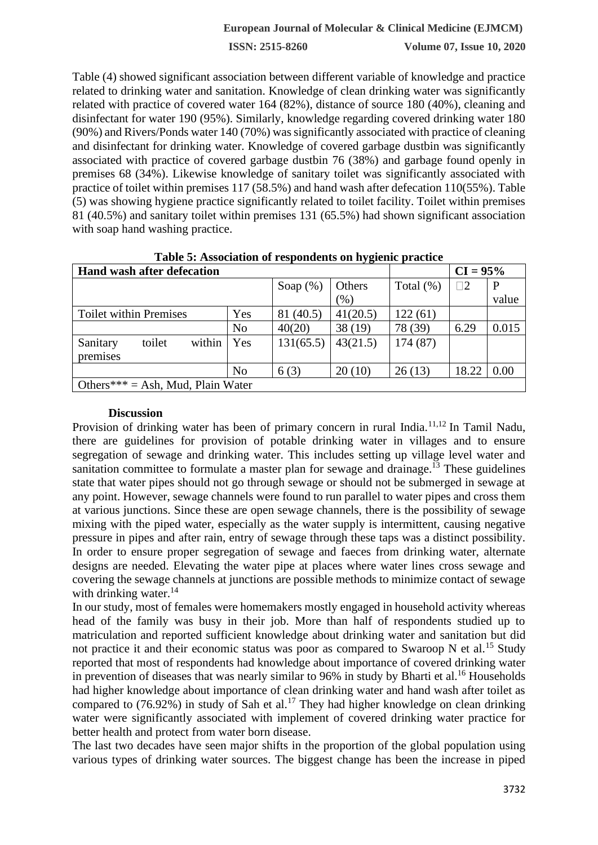Table (4) showed significant association between different variable of knowledge and practice related to drinking water and sanitation. Knowledge of clean drinking water was significantly related with practice of covered water 164 (82%), distance of source 180 (40%), cleaning and disinfectant for water 190 (95%). Similarly, knowledge regarding covered drinking water 180 (90%) and Rivers/Ponds water 140 (70%) was significantly associated with practice of cleaning and disinfectant for drinking water. Knowledge of covered garbage dustbin was significantly associated with practice of covered garbage dustbin 76 (38%) and garbage found openly in premises 68 (34%). Likewise knowledge of sanitary toilet was significantly associated with practice of toilet within premises 117 (58.5%) and hand wash after defecation 110(55%). Table (5) was showing hygiene practice significantly related to toilet facility. Toilet within premises 81 (40.5%) and sanitary toilet within premises 131 (65.5%) had shown significant association with soap hand washing practice.

| <b>Table 5. Association of respondents on hygienic practice</b> |                |             |          |              |             |       |  |
|-----------------------------------------------------------------|----------------|-------------|----------|--------------|-------------|-------|--|
| <b>Hand wash after defecation</b>                               |                | $CI = 95%$  |          |              |             |       |  |
|                                                                 |                | Soap $(\%)$ | Others   | Total $(\%)$ | $\square 2$ |       |  |
|                                                                 |                |             | (% )     |              |             | value |  |
| <b>Toilet within Premises</b>                                   | Yes            | 81 (40.5)   | 41(20.5) | 122(61)      |             |       |  |
|                                                                 | N <sub>o</sub> | 40(20)      | 38(19)   | 78 (39)      | 6.29        | 0.015 |  |
| within<br>toilet<br>Sanitary<br>premises                        | Yes            | 131(65.5)   | 43(21.5) | 174 (87)     |             |       |  |
|                                                                 | N <sub>o</sub> | 6(3)        | 20(10)   | 26(13)       | 18.22       | 0.00  |  |
| Others*** = Ash, Mud, Plain Water                               |                |             |          |              |             |       |  |

**Table 5: Association of respondents on hygienic practice**

#### **Discussion**

Provision of drinking water has been of primary concern in rural India.<sup>11,12</sup> In Tamil Nadu, there are guidelines for provision of potable drinking water in villages and to ensure segregation of sewage and drinking water. This includes setting up village level water and sanitation committee to formulate a master plan for sewage and drainage.<sup> $13$ </sup> These guidelines state that water pipes should not go through sewage or should not be submerged in sewage at any point. However, sewage channels were found to run parallel to water pipes and cross them at various junctions. Since these are open sewage channels, there is the possibility of sewage mixing with the piped water, especially as the water supply is intermittent, causing negative pressure in pipes and after rain, entry of sewage through these taps was a distinct possibility. In order to ensure proper segregation of sewage and faeces from drinking water, alternate designs are needed. Elevating the water pipe at places where water lines cross sewage and covering the sewage channels at junctions are possible methods to minimize contact of sewage with drinking water. $14$ 

In our study, most of females were homemakers mostly engaged in household activity whereas head of the family was busy in their job. More than half of respondents studied up to matriculation and reported sufficient knowledge about drinking water and sanitation but did not practice it and their economic status was poor as compared to Swaroop N et al.<sup>15</sup> Study reported that most of respondents had knowledge about importance of covered drinking water in prevention of diseases that was nearly similar to 96% in study by Bharti et al.<sup>16</sup> Households had higher knowledge about importance of clean drinking water and hand wash after toilet as compared to  $(76.92\%)$  in study of Sah et al.<sup>17</sup> They had higher knowledge on clean drinking water were significantly associated with implement of covered drinking water practice for better health and protect from water born disease.

The last two decades have seen major shifts in the proportion of the global population using various types of drinking water sources. The biggest change has been the increase in piped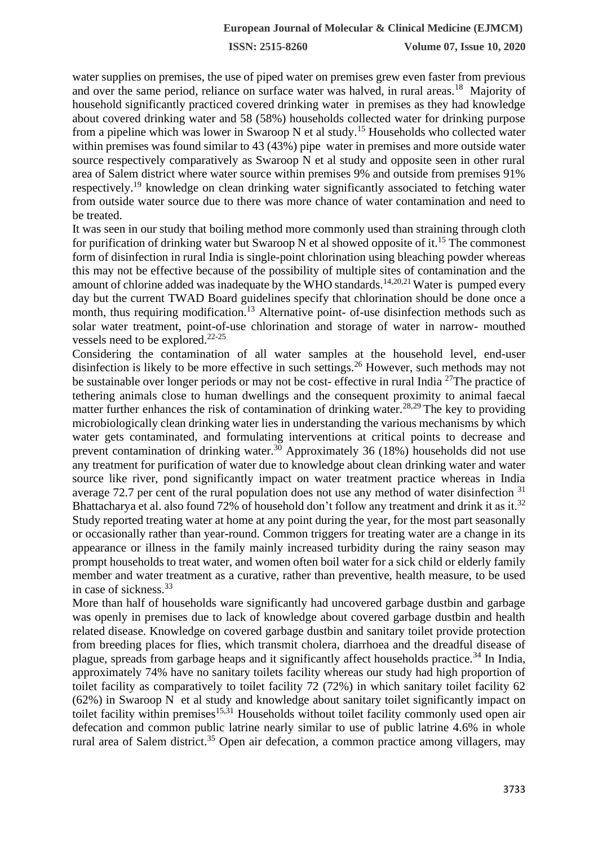water supplies on premises, the use of piped water on premises grew even faster from previous and over the same period, reliance on surface water was halved, in rural areas.<sup>18</sup> Majority of household significantly practiced covered drinking water in premises as they had knowledge about covered drinking water and 58 (58%) households collected water for drinking purpose from a pipeline which was lower in Swaroop N et al study.<sup>15</sup> Households who collected water within premises was found similar to 43 (43%) pipe water in premises and more outside water source respectively comparatively as Swaroop N et al study and opposite seen in other rural area of Salem district where water source within premises 9% and outside from premises 91% respectively.<sup>19</sup> knowledge on clean drinking water significantly associated to fetching water from outside water source due to there was more chance of water contamination and need to be treated.

It was seen in our study that boiling method more commonly used than straining through cloth for purification of drinking water but Swaroop N et al showed opposite of it.<sup>15</sup> The commonest form of disinfection in rural India is single-point chlorination using bleaching powder whereas this may not be effective because of the possibility of multiple sites of contamination and the amount of chlorine added was inadequate by the WHO standards.<sup>14,20,21</sup> Water is pumped every day but the current TWAD Board guidelines specify that chlorination should be done once a month, thus requiring modification.<sup>13</sup> Alternative point- of-use disinfection methods such as solar water treatment, point-of-use chlorination and storage of water in narrow- mouthed vessels need to be explored. $22-25$ 

Considering the contamination of all water samples at the household level, end-user disinfection is likely to be more effective in such settings.<sup>26</sup> However, such methods may not be sustainable over longer periods or may not be cost- effective in rural India <sup>27</sup>The practice of tethering animals close to human dwellings and the consequent proximity to animal faecal matter further enhances the risk of contamination of drinking water.<sup>28,29</sup> The key to providing microbiologically clean drinking water lies in understanding the various mechanisms by which water gets contaminated, and formulating interventions at critical points to decrease and prevent contamination of drinking water.<sup>30</sup> Approximately 36 (18%) households did not use any treatment for purification of water due to knowledge about clean drinking water and water source like river, pond significantly impact on water treatment practice whereas in India average 72.7 per cent of the rural population does not use any method of water disinfection <sup>31</sup> Bhattacharya et al. also found 72% of household don't follow any treatment and drink it as it.<sup>32</sup> Study reported treating water at home at any point during the year, for the most part seasonally or occasionally rather than year-round. Common triggers for treating water are a change in its appearance or illness in the family mainly increased turbidity during the rainy season may prompt households to treat water, and women often boil water for a sick child or elderly family member and water treatment as a curative, rather than preventive, health measure, to be used in case of sickness.<sup>33</sup>

More than half of households ware significantly had uncovered garbage dustbin and garbage was openly in premises due to lack of knowledge about covered garbage dustbin and health related disease. Knowledge on covered garbage dustbin and sanitary toilet provide protection from breeding places for flies, which transmit cholera, diarrhoea and the dreadful disease of plague, spreads from garbage heaps and it significantly affect households practice.<sup>34</sup> In India, approximately 74% have no sanitary toilets facility whereas our study had high proportion of toilet facility as comparatively to toilet facility 72 (72%) in which sanitary toilet facility 62 (62%) in Swaroop N et al study and knowledge about sanitary toilet significantly impact on toilet facility within premises $15,31$  Households without toilet facility commonly used open air defecation and common public latrine nearly similar to use of public latrine 4.6% in whole rural area of Salem district.<sup>35</sup> Open air defecation, a common practice among villagers, may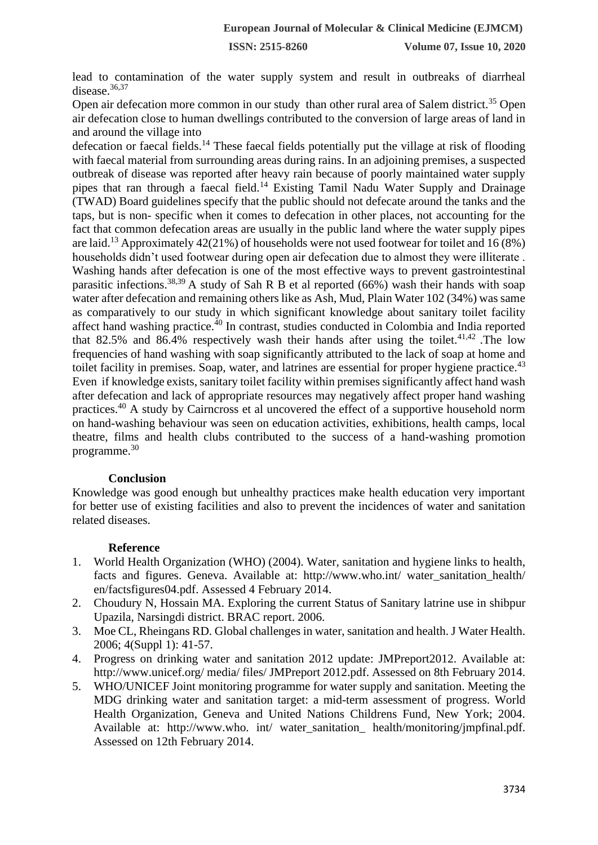lead to contamination of the water supply system and result in outbreaks of diarrheal disease.<sup>36,37</sup>

Open air defecation more common in our study than other rural area of Salem district.<sup>35</sup> Open air defecation close to human dwellings contributed to the conversion of large areas of land in and around the village into

defecation or faecal fields.<sup>14</sup> These faecal fields potentially put the village at risk of flooding with faecal material from surrounding areas during rains. In an adjoining premises, a suspected outbreak of disease was reported after heavy rain because of poorly maintained water supply pipes that ran through a faecal field.<sup>14</sup> Existing Tamil Nadu Water Supply and Drainage (TWAD) Board guidelines specify that the public should not defecate around the tanks and the taps, but is non- specific when it comes to defecation in other places, not accounting for the fact that common defecation areas are usually in the public land where the water supply pipes are laid.<sup>13</sup> Approximately 42(21%) of households were not used footwear for toilet and 16 (8%) households didn't used footwear during open air defecation due to almost they were illiterate . Washing hands after defecation is one of the most effective ways to prevent gastrointestinal parasitic infections.<sup>38,39</sup> A study of Sah R B et al reported (66%) wash their hands with soap water after defecation and remaining others like as Ash, Mud, Plain Water 102 (34%) was same as comparatively to our study in which significant knowledge about sanitary toilet facility affect hand washing practice.<sup>40</sup> In contrast, studies conducted in Colombia and India reported that 82.5% and 86.4% respectively wash their hands after using the toilet.<sup>41,42</sup> .The low frequencies of hand washing with soap significantly attributed to the lack of soap at home and toilet facility in premises. Soap, water, and latrines are essential for proper hygiene practice.<sup>43</sup> Even if knowledge exists, sanitary toilet facility within premises significantly affect hand wash after defecation and lack of appropriate resources may negatively affect proper hand washing practices.<sup>40</sup> A study by Cairncross et al uncovered the effect of a supportive household norm on hand-washing behaviour was seen on education activities, exhibitions, health camps, local theatre, films and health clubs contributed to the success of a hand-washing promotion programme.<sup>30</sup>

### **Conclusion**

Knowledge was good enough but unhealthy practices make health education very important for better use of existing facilities and also to prevent the incidences of water and sanitation related diseases.

### **Reference**

- 1. World Health Organization (WHO) (2004). Water, sanitation and hygiene links to health, facts and figures. Geneva. Available at: http://www.who.int/ water\_sanitation\_health/ en/factsfigures04.pdf. Assessed 4 February 2014.
- 2. Choudury N, Hossain MA. Exploring the current Status of Sanitary latrine use in shibpur Upazila, Narsingdi district. BRAC report. 2006.
- 3. Moe CL, Rheingans RD. Global challenges in water, sanitation and health. J Water Health. 2006; 4(Suppl 1): 41-57.
- 4. Progress on drinking water and sanitation 2012 update: JMPreport2012. Available at: http://www.unicef.org/ media/ files/ JMPreport 2012.pdf. Assessed on 8th February 2014.
- 5. WHO/UNICEF Joint monitoring programme for water supply and sanitation. Meeting the MDG drinking water and sanitation target: a mid-term assessment of progress. World Health Organization, Geneva and United Nations Childrens Fund, New York; 2004. Available at: http://www.who. int/ water\_sanitation\_ health/monitoring/jmpfinal.pdf. Assessed on 12th February 2014.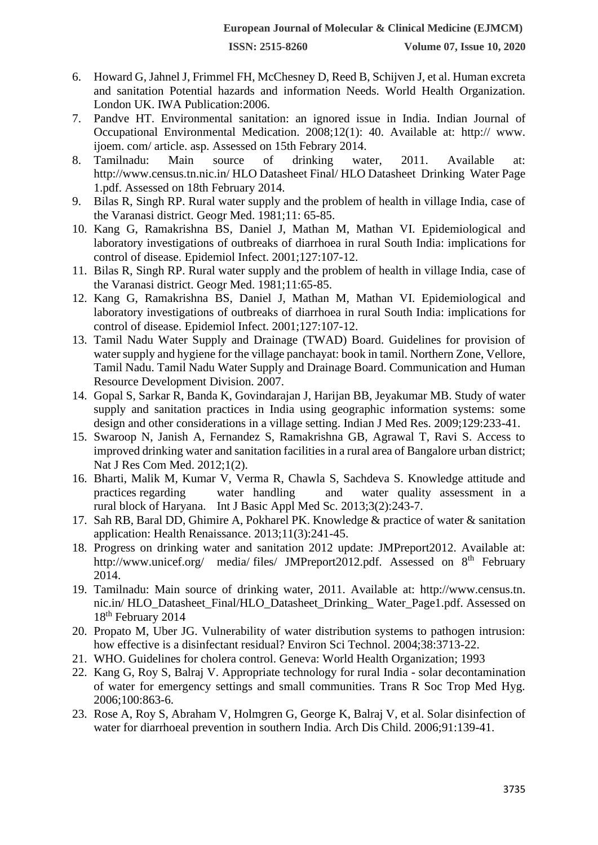- 6. Howard G, Jahnel J, Frimmel FH, McChesney D, Reed B, Schijven J, et al. Human excreta and sanitation Potential hazards and information Needs. World Health Organization. London UK. IWA Publication:2006.
- 7. Pandve HT. Environmental sanitation: an ignored issue in India. Indian Journal of Occupational Environmental Medication. 2008;12(1): 40. Available at: http:// www. ijoem. com/ article. asp. Assessed on 15th Febrary 2014.
- 8. Tamilnadu: Main source of drinking water, 2011. Available at: http://www.census.tn.nic.in/ HLO Datasheet Final/ HLO Datasheet Drinking Water Page 1.pdf. Assessed on 18th February 2014.
- 9. Bilas R, Singh RP. Rural water supply and the problem of health in village India, case of the Varanasi district. Geogr Med. 1981;11: 65-85.
- 10. Kang G, Ramakrishna BS, Daniel J, Mathan M, Mathan VI. Epidemiological and laboratory investigations of outbreaks of diarrhoea in rural South India: implications for control of disease. Epidemiol Infect. 2001;127:107-12.
- 11. Bilas R, Singh RP. Rural water supply and the problem of health in village India, case of the Varanasi district. Geogr Med. 1981;11:65-85.
- 12. Kang G, Ramakrishna BS, Daniel J, Mathan M, Mathan VI. Epidemiological and laboratory investigations of outbreaks of diarrhoea in rural South India: implications for control of disease. Epidemiol Infect. 2001;127:107-12.
- 13. Tamil Nadu Water Supply and Drainage (TWAD) Board. Guidelines for provision of water supply and hygiene for the village panchayat: book in tamil. Northern Zone, Vellore, Tamil Nadu. Tamil Nadu Water Supply and Drainage Board. Communication and Human Resource Development Division. 2007.
- 14. Gopal S, Sarkar R, Banda K, Govindarajan J, Harijan BB, Jeyakumar MB. Study of water supply and sanitation practices in India using geographic information systems: some design and other considerations in a village setting. Indian J Med Res. 2009;129:233-41.
- 15. Swaroop N, Janish A, Fernandez S, Ramakrishna GB, Agrawal T, Ravi S. Access to improved drinking water and sanitation facilities in a rural area of Bangalore urban district; Nat J Res Com Med. 2012;1(2).
- 16. Bharti, Malik M, Kumar V, Verma R, Chawla S, Sachdeva S. Knowledge attitude and practices regarding water handling and water quality assessment in a rural block of Haryana. Int J Basic Appl Med Sc. 2013;3(2):243-7.
- 17. Sah RB, Baral DD, Ghimire A, Pokharel PK. Knowledge & practice of water & sanitation application: Health Renaissance. 2013;11(3):241-45.
- 18. Progress on drinking water and sanitation 2012 update: JMPreport2012. Available at[:](http://www.unicef.org/) <http://www.unicef.org/> media/ files/ JMPreport2012.pdf. Assessed on 8<sup>th</sup> February 2014.
- 19. Tamilnadu: Main source of drinking water, 2011. Available at: http://www.census.tn. nic.in/ HLO\_Datasheet\_Final/HLO\_Datasheet\_Drinking\_ Water\_Page1.pdf. Assessed on 18<sup>th</sup> February 2014
- 20. Propato M, Uber JG. Vulnerability of water distribution systems to pathogen intrusion: how effective is a disinfectant residual? Environ Sci Technol. 2004;38:3713-22.
- 21. WHO. Guidelines for cholera control. Geneva: World Health Organization; 1993
- 22. Kang G, Roy S, Balraj V. Appropriate technology for rural India solar decontamination of water for emergency settings and small communities. Trans R Soc Trop Med Hyg. 2006;100:863-6.
- 23. Rose A, Roy S, Abraham V, Holmgren G, George K, Balraj V, et al. Solar disinfection of water for diarrhoeal prevention in southern India. Arch Dis Child. 2006;91:139-41.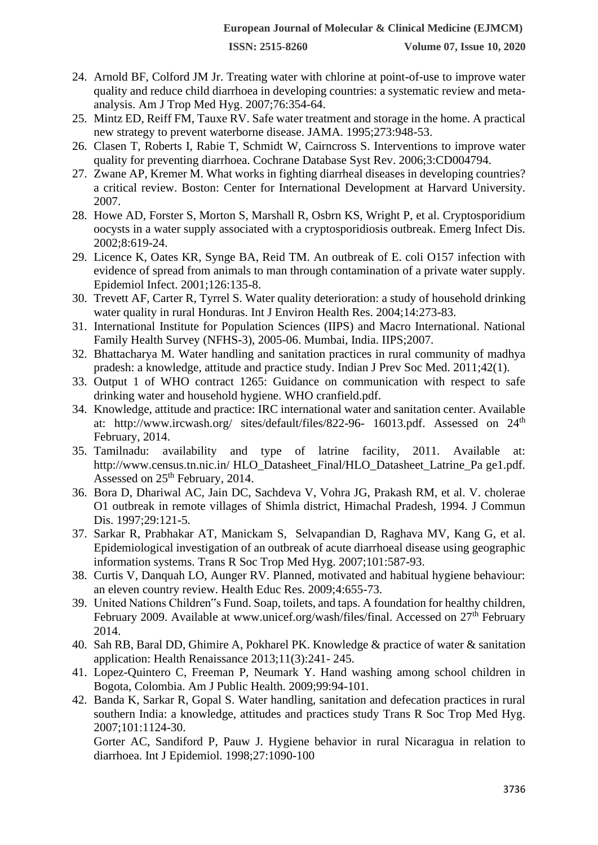- 24. Arnold BF, Colford JM Jr. Treating water with chlorine at point-of-use to improve water quality and reduce child diarrhoea in developing countries: a systematic review and metaanalysis. Am J Trop Med Hyg. 2007;76:354-64.
- 25. Mintz ED, Reiff FM, Tauxe RV. Safe water treatment and storage in the home. A practical new strategy to prevent waterborne disease. JAMA. 1995;273:948-53.
- 26. Clasen T, Roberts I, Rabie T, Schmidt W, Cairncross S. Interventions to improve water quality for preventing diarrhoea. Cochrane Database Syst Rev. 2006;3:CD004794.
- 27. Zwane AP, Kremer M. What works in fighting diarrheal diseases in developing countries? a critical review. Boston: Center for International Development at Harvard University. 2007.
- 28. Howe AD, Forster S, Morton S, Marshall R, Osbrn KS, Wright P, et al. Cryptosporidium oocysts in a water supply associated with a cryptosporidiosis outbreak. Emerg Infect Dis. 2002;8:619-24.
- 29. Licence K, Oates KR, Synge BA, Reid TM. An outbreak of E. coli O157 infection with evidence of spread from animals to man through contamination of a private water supply. Epidemiol Infect. 2001;126:135-8.
- 30. Trevett AF, Carter R, Tyrrel S. Water quality deterioration: a study of household drinking water quality in rural Honduras. Int J Environ Health Res. 2004;14:273-83.
- 31. International Institute for Population Sciences (IIPS) and Macro International. National Family Health Survey (NFHS-3), 2005-06. Mumbai, India. IIPS;2007.
- 32. Bhattacharya M. Water handling and sanitation practices in rural community of madhya pradesh: a knowledge, attitude and practice study. Indian J Prev Soc Med. 2011;42(1).
- 33. Output 1 of WHO contract 1265: Guidance on communication with respect to safe drinking water and household hygiene. WHO cranfield.pdf.
- 34. Knowledge, attitude and practice: IRC international water and sanitation center. Available at: <http://www.ircwash.org/> sites/default/files/822-96- 16013.pdf. Assessed on 24<sup>th</sup> February, 2014.
- 35. Tamilnadu: availability and type of latrine facility, 2011. Available at: <http://www.census.tn.nic.in/> HLO\_Datasheet\_Final/HLO\_Datasheet\_Latrine\_Pa ge1.pdf. Assessed on  $25<sup>th</sup>$  February, 2014.
- 36. Bora D, Dhariwal AC, Jain DC, Sachdeva V, Vohra JG, Prakash RM, et al. V. cholerae O1 outbreak in remote villages of Shimla district, Himachal Pradesh, 1994. J Commun Dis. 1997;29:121-5.
- 37. Sarkar R, Prabhakar AT, Manickam S, Selvapandian D, Raghava MV, Kang G, et al. Epidemiological investigation of an outbreak of acute diarrhoeal disease using geographic information systems. Trans R Soc Trop Med Hyg. 2007;101:587-93.
- 38. Curtis V, Danquah LO, Aunger RV. Planned, motivated and habitual hygiene behaviour: an eleven country review. Health Educ Res. 2009;4:655-73.
- 39. United Nations Children"s Fund. Soap, toilets, and taps. A foundation for healthy children, February 2009. Available at [www.unicef.org/wash/files/final.](http://www.unicef.org/wash/files/final) Accessed on 27<sup>th</sup> February 2014.
- 40. Sah RB, Baral DD, Ghimire A, Pokharel PK. Knowledge & practice of water & sanitation application: Health Renaissance 2013;11(3):241- 245.
- 41. Lopez-Quintero C, Freeman P, Neumark Y. Hand washing among school children in Bogota, Colombia. Am J Public Health. 2009;99:94-101.
- 42. Banda K, Sarkar R, Gopal S. Water handling, sanitation and defecation practices in rural southern India: a knowledge, attitudes and practices study Trans R Soc Trop Med Hyg. 2007;101:1124-30.

Gorter AC, Sandiford P, Pauw J. Hygiene behavior in rural Nicaragua in relation to diarrhoea. Int J Epidemiol. 1998;27:1090-100